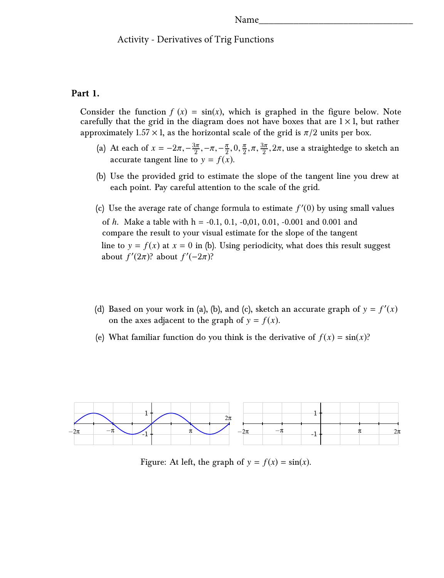#### Name

## Activity - Derivatives of Trig Functions

## **Part 1.**

Consider the function  $f(x) = sin(x)$ , which is graphed in the figure below. Note carefully that the grid in the diagram does not have boxes that are  $1 \times 1$ , but rather approximately  $1.57 \times 1$ , as the horizontal scale of the grid is  $\pi/2$  units per box.

- (a) At each of  $x = -2\pi, -\frac{3\pi}{2}, -\pi, -\frac{\pi}{2}, 0, \frac{\pi}{2}, \pi, \frac{3\pi}{2}, 2\pi$ , use a straightedge to sketch an accurate tangent line to  $y = f(x)$ accurate tangent line to  $y = f(x)$ .
- (b) Use the provided grid to estimate the slope of the tangent line you drew at each point. Pay careful attention to the scale of the grid.
- (c) Use the average rate of change formula to estimate  $f'(0)$  by using small values of *h*. Make a table with h = -0.1, 0.1, -0,01, 0.01, -0.001 and 0.001 and compare the result to your visual estimate for the slope of the tangent line to  $y = f(x)$  at  $x = 0$  in (b). Using periodicity, what does this result suggest about  $f'(2\pi)$ ? about  $f'(-2\pi)$ ?
- (d) Based on your work in (a), (b), and (c), sketch an accurate graph of  $y = f'(x)$ on the axes adjacent to the graph of  $y = f(x)$ .
- (e) What familiar function do you think is the derivative of  $f(x) = \sin(x)$ ?



Figure: At left, the graph of  $y = f(x) = \sin(x)$ .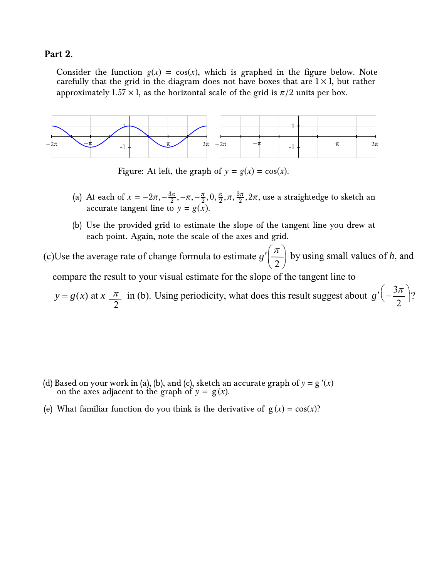# **Part 2.**

Consider the function  $g(x) = cos(x)$ , which is graphed in the figure below. Note carefully that the grid in the diagram does not have boxes that are  $1 \times 1$ , but rather approximately  $1.57 \times 1$ , as the horizontal scale of the grid is  $\pi/2$  units per box.



Figure: At left, the graph of  $y = g(x) = \cos(x)$ .

- (a) At each of  $x = -2\pi, -\frac{3\pi}{2}, -\pi, -\frac{\pi}{2}, 0, \frac{\pi}{2}, \pi, \frac{3\pi}{2}, 2\pi$ , use a straightedge to sketch an accurate tangent line to  $y = g(x)$ accurate tangent line to  $y = g(x)$ .
- (b) Use the provided grid to estimate the slope of the tangent line you drew at each point. Again, note the scale of the axes and grid.

(c)Use the average rate of change formula to estimate 2  $g'\left(\frac{\pi}{2}\right)$  by using small values of *h*, and compare the result to your visual estimate for the slope of the tangent line to

 $y = g(x)$  at  $x \frac{\pi}{2}$  in (b). Using periodicity, what does this result suggest about  $g'(-\frac{3}{2})$ 2  $g'(-\frac{3\pi}{2})$ ?  $\sqrt{2\pi}$  |? 2

- (d) Based on your work in (a), (b), and (c), sketch an accurate graph of  $y = g'(x)$ on the axes adjacent to the graph of  $y = g(x)$ .
- (e) What familiar function do you think is the derivative of  $g(x) = cos(x)$ ?